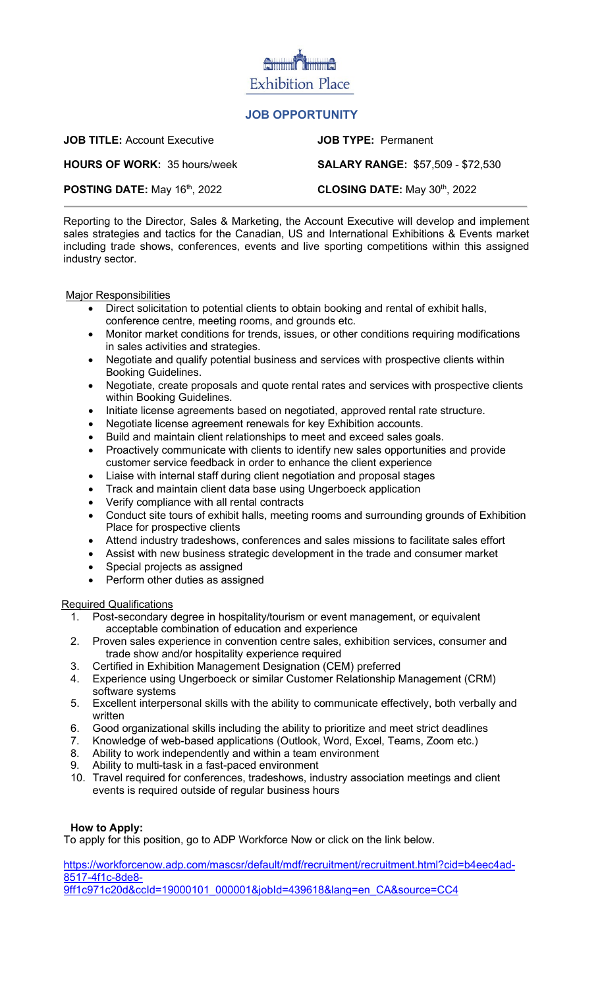# **Exhibition Place**

# **JOB OPPORTUNITY**

| <b>JOB TITLE: Account Executive</b> | <b>JOB TYPE: Permanent</b>               |
|-------------------------------------|------------------------------------------|
| <b>HOURS OF WORK: 35 hours/week</b> | <b>SALARY RANGE: \$57,509 - \$72,530</b> |
| POSTING DATE: May 16th, 2022        | CLOSING DATE: May 30th, 2022             |

Reporting to the Director, Sales & Marketing, the Account Executive will develop and implement sales strategies and tactics for the Canadian, US and International Exhibitions & Events market including trade shows, conferences, events and live sporting competitions within this assigned industry sector.

#### Major Responsibilities

- Direct solicitation to potential clients to obtain booking and rental of exhibit halls, conference centre, meeting rooms, and grounds etc.
- Monitor market conditions for trends, issues, or other conditions requiring modifications in sales activities and strategies.
- Negotiate and qualify potential business and services with prospective clients within Booking Guidelines.
- Negotiate, create proposals and quote rental rates and services with prospective clients within Booking Guidelines.
- Initiate license agreements based on negotiated, approved rental rate structure.
- Negotiate license agreement renewals for key Exhibition accounts.
- Build and maintain client relationships to meet and exceed sales goals.
- Proactively communicate with clients to identify new sales opportunities and provide customer service feedback in order to enhance the client experience
- Liaise with internal staff during client negotiation and proposal stages
- Track and maintain client data base using Ungerboeck application
- Verify compliance with all rental contracts
- Conduct site tours of exhibit halls, meeting rooms and surrounding grounds of Exhibition Place for prospective clients
- Attend industry tradeshows, conferences and sales missions to facilitate sales effort
- Assist with new business strategic development in the trade and consumer market
- Special projects as assigned
- Perform other duties as assigned

## Required Qualifications

- 1. Post-secondary degree in hospitality/tourism or event management, or equivalent acceptable combination of education and experience
- 2. Proven sales experience in convention centre sales, exhibition services, consumer and trade show and/or hospitality experience required
- 3. Certified in Exhibition Management Designation (CEM) preferred
- 4. Experience using Ungerboeck or similar Customer Relationship Management (CRM) software systems
- 5. Excellent interpersonal skills with the ability to communicate effectively, both verbally and written
- 6. Good organizational skills including the ability to prioritize and meet strict deadlines
- 7. Knowledge of web-based applications (Outlook, Word, Excel, Teams, Zoom etc.)
- 8. Ability to work independently and within a team environment
- 9. Ability to multi-task in a fast-paced environment
- 10. Travel required for conferences, tradeshows, industry association meetings and client events is required outside of regular business hours

## **How to Apply:**

To apply for this position, go to ADP Workforce Now or click on the link below.

[https://workforcenow.adp.com/mascsr/default/mdf/recruitment/recruitment.html?cid=b4eec4ad-](https://workforcenow.adp.com/mascsr/default/mdf/recruitment/recruitment.html?cid=b4eec4ad-8517-4f1c-8de8-9ff1c971c20d&ccId=19000101_000001&jobId=439618&lang=en_CA&source=CC4)[8517-4f1c-8de8-](https://workforcenow.adp.com/mascsr/default/mdf/recruitment/recruitment.html?cid=b4eec4ad-8517-4f1c-8de8-9ff1c971c20d&ccId=19000101_000001&jobId=439618&lang=en_CA&source=CC4) <u>[9ff1c971c20d&ccId=19000101\\_000001&jobId=439618&lang=en\\_CA&source=CC4](https://workforcenow.adp.com/mascsr/default/mdf/recruitment/recruitment.html?cid=b4eec4ad-8517-4f1c-8de8-9ff1c971c20d&ccId=19000101_000001&jobId=439618&lang=en_CA&source=CC4)</u>